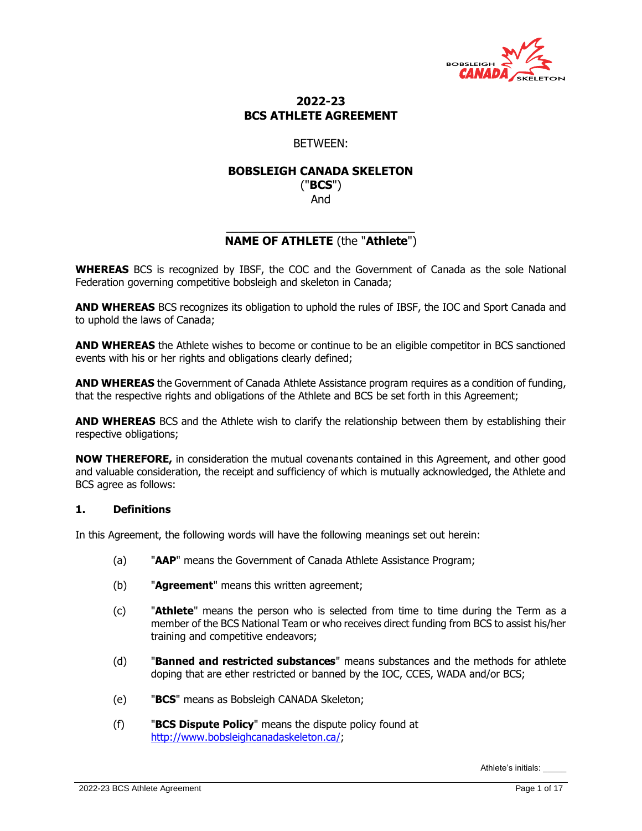

# **2022-23 BCS ATHLETE AGREEMENT**

# BETWEEN:

## **BOBSLEIGH CANADA SKELETON** ("**BCS**")

And

## \_\_\_\_\_\_\_\_\_\_\_\_\_\_\_\_\_\_\_\_\_\_\_\_\_\_\_\_\_\_ **NAME OF ATHLETE** (the "**Athlete**")

**WHEREAS** BCS is recognized by IBSF, the COC and the Government of Canada as the sole National Federation governing competitive bobsleigh and skeleton in Canada;

**AND WHEREAS** BCS recognizes its obligation to uphold the rules of IBSF, the IOC and Sport Canada and to uphold the laws of Canada;

**AND WHEREAS** the Athlete wishes to become or continue to be an eligible competitor in BCS sanctioned events with his or her rights and obligations clearly defined;

**AND WHEREAS** the Government of Canada Athlete Assistance program requires as a condition of funding, that the respective rights and obligations of the Athlete and BCS be set forth in this Agreement;

**AND WHEREAS** BCS and the Athlete wish to clarify the relationship between them by establishing their respective obligations;

**NOW THEREFORE,** in consideration the mutual covenants contained in this Agreement, and other good and valuable consideration, the receipt and sufficiency of which is mutually acknowledged, the Athlete and BCS agree as follows:

## **1. Definitions**

In this Agreement, the following words will have the following meanings set out herein:

- (a) "**AAP**" means the Government of Canada Athlete Assistance Program;
- (b) "**Agreement**" means this written agreement;
- (c) "**Athlete**" means the person who is selected from time to time during the Term as a member of the BCS National Team or who receives direct funding from BCS to assist his/her training and competitive endeavors;
- (d) "**Banned and restricted substances**" means substances and the methods for athlete doping that are ether restricted or banned by the IOC, CCES, WADA and/or BCS;
- (e) "**BCS**" means as Bobsleigh CANADA Skeleton;
- (f) "**BCS Dispute Policy**" means the dispute policy found at [http://www.bobsleighcanadaskeleton.ca/;](http://www.bobsleighcanadaskeleton.ca/)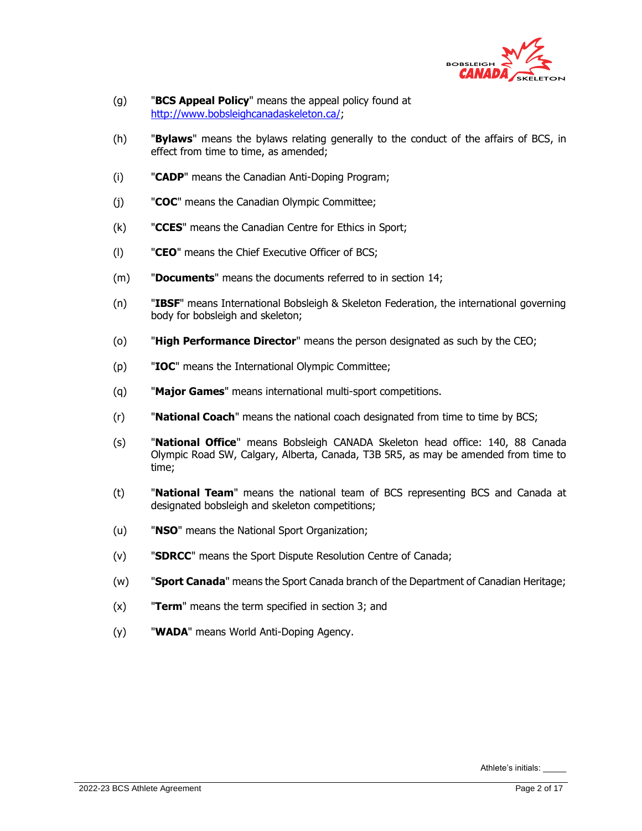

- (g) "**BCS Appeal Policy**" means the appeal policy found at [http://www.bobsleighcanadaskeleton.ca/;](http://www.bobsleighcanadaskeleton.ca/)
- (h) "**Bylaws**" means the bylaws relating generally to the conduct of the affairs of BCS, in effect from time to time, as amended;
- (i) "**CADP**" means the Canadian Anti-Doping Program;
- (j) "**COC**" means the Canadian Olympic Committee;
- (k) "**CCES**" means the Canadian Centre for Ethics in Sport;
- (l) "**CEO**" means the Chief Executive Officer of BCS;
- (m) "**Documents**" means the documents referred to in section [14;](#page-10-0)
- (n) "**IBSF**" means International Bobsleigh & Skeleton Federation, the international governing body for bobsleigh and skeleton;
- (o) "**High Performance Director**" means the person designated as such by the CEO;
- (p) "**IOC**" means the International Olympic Committee;
- (q) "**Major Games**" means international multi-sport competitions.
- (r) "**National Coach**" means the national coach designated from time to time by BCS;
- (s) "**National Office**" means Bobsleigh CANADA Skeleton head office: 140, 88 Canada Olympic Road SW, Calgary, Alberta, Canada, T3B 5R5, as may be amended from time to time;
- (t) "**National Team**" means the national team of BCS representing BCS and Canada at designated bobsleigh and skeleton competitions;
- (u) "**NSO**" means the National Sport Organization;
- (v) "**SDRCC**" means the Sport Dispute Resolution Centre of Canada;
- (w) "**Sport Canada**" means the Sport Canada branch of the Department of Canadian Heritage;
- (x) "**Term**" means the term specified in section [3;](#page-2-0) and
- (y) "**WADA**" means World Anti-Doping Agency.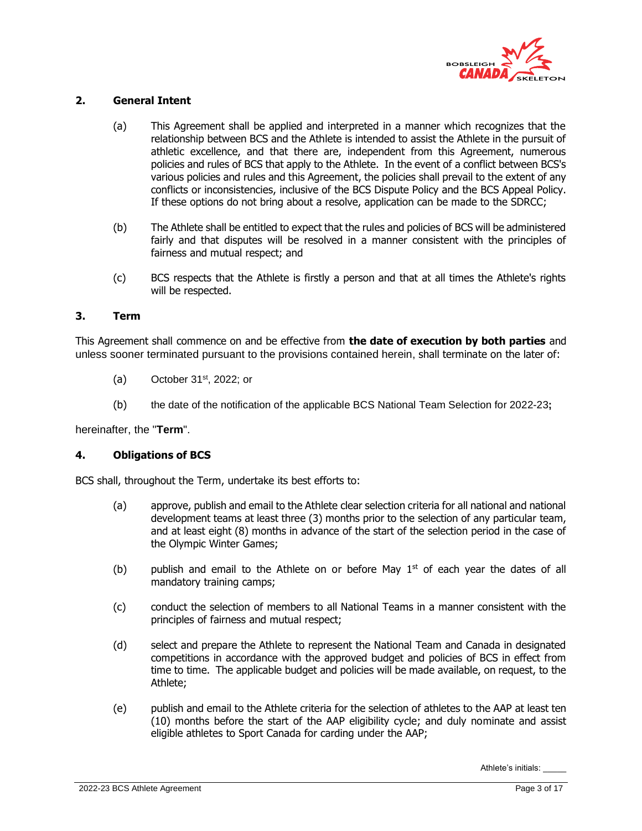

## **2. General Intent**

- (a) This Agreement shall be applied and interpreted in a manner which recognizes that the relationship between BCS and the Athlete is intended to assist the Athlete in the pursuit of athletic excellence, and that there are, independent from this Agreement, numerous policies and rules of BCS that apply to the Athlete. In the event of a conflict between BCS's various policies and rules and this Agreement, the policies shall prevail to the extent of any conflicts or inconsistencies, inclusive of the BCS Dispute Policy and the BCS Appeal Policy. If these options do not bring about a resolve, application can be made to the SDRCC;
- (b) The Athlete shall be entitled to expect that the rules and policies of BCS will be administered fairly and that disputes will be resolved in a manner consistent with the principles of fairness and mutual respect; and
- (c) BCS respects that the Athlete is firstly a person and that at all times the Athlete's rights will be respected.

#### <span id="page-2-0"></span>**3. Term**

This Agreement shall commence on and be effective from **the date of execution by both parties** and unless sooner terminated pursuant to the provisions contained herein, shall terminate on the later of:

- (a) October 31 $st$ , 2022; or
- (b) the date of the notification of the applicable BCS National Team Selection for 2022-23**;**

hereinafter, the "**Term**".

#### **4. Obligations of BCS**

BCS shall, throughout the Term, undertake its best efforts to:

- (a) approve, publish and email to the Athlete clear selection criteria for all national and national development teams at least three (3) months prior to the selection of any particular team, and at least eight (8) months in advance of the start of the selection period in the case of the Olympic Winter Games;
- (b) publish and email to the Athlete on or before May  $1<sup>st</sup>$  of each year the dates of all mandatory training camps;
- (c) conduct the selection of members to all National Teams in a manner consistent with the principles of fairness and mutual respect;
- (d) select and prepare the Athlete to represent the National Team and Canada in designated competitions in accordance with the approved budget and policies of BCS in effect from time to time. The applicable budget and policies will be made available, on request, to the Athlete;
- (e) publish and email to the Athlete criteria for the selection of athletes to the AAP at least ten (10) months before the start of the AAP eligibility cycle; and duly nominate and assist eligible athletes to Sport Canada for carding under the AAP;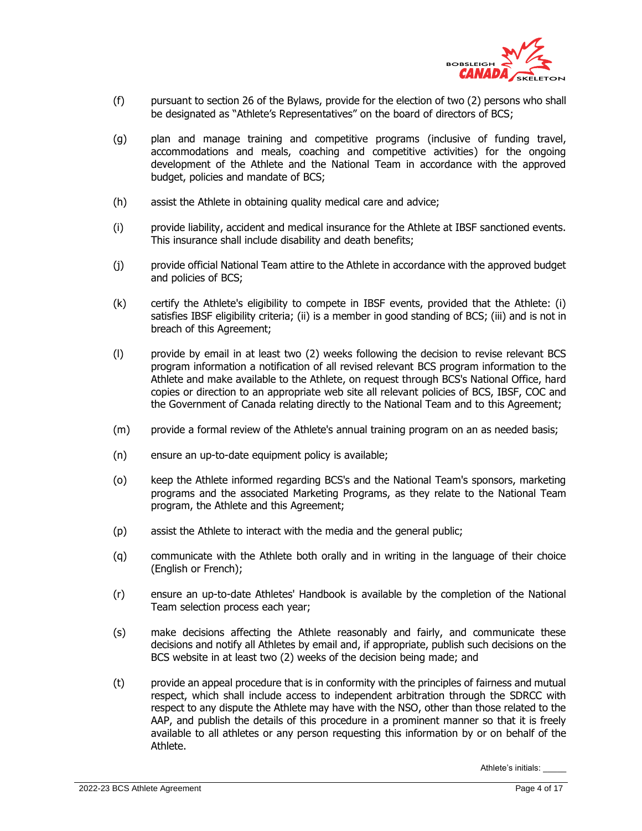

- (f) pursuant to section 26 of the Bylaws, provide for the election of two (2) persons who shall be designated as "Athlete's Representatives" on the board of directors of BCS;
- (g) plan and manage training and competitive programs (inclusive of funding travel, accommodations and meals, coaching and competitive activities) for the ongoing development of the Athlete and the National Team in accordance with the approved budget, policies and mandate of BCS;
- (h) assist the Athlete in obtaining quality medical care and advice;
- (i) provide liability, accident and medical insurance for the Athlete at IBSF sanctioned events. This insurance shall include disability and death benefits;
- (j) provide official National Team attire to the Athlete in accordance with the approved budget and policies of BCS;
- (k) certify the Athlete's eligibility to compete in IBSF events, provided that the Athlete: (i) satisfies IBSF eligibility criteria; (ii) is a member in good standing of BCS; (iii) and is not in breach of this Agreement;
- (l) provide by email in at least two (2) weeks following the decision to revise relevant BCS program information a notification of all revised relevant BCS program information to the Athlete and make available to the Athlete, on request through BCS's National Office, hard copies or direction to an appropriate web site all relevant policies of BCS, IBSF, COC and the Government of Canada relating directly to the National Team and to this Agreement;
- (m) provide a formal review of the Athlete's annual training program on an as needed basis;
- (n) ensure an up-to-date equipment policy is available;
- (o) keep the Athlete informed regarding BCS's and the National Team's sponsors, marketing programs and the associated Marketing Programs, as they relate to the National Team program, the Athlete and this Agreement;
- (p) assist the Athlete to interact with the media and the general public;
- (q) communicate with the Athlete both orally and in writing in the language of their choice (English or French);
- (r) ensure an up-to-date Athletes' Handbook is available by the completion of the National Team selection process each year;
- (s) make decisions affecting the Athlete reasonably and fairly, and communicate these decisions and notify all Athletes by email and, if appropriate, publish such decisions on the BCS website in at least two (2) weeks of the decision being made; and
- (t) provide an appeal procedure that is in conformity with the principles of fairness and mutual respect, which shall include access to independent arbitration through the SDRCC with respect to any dispute the Athlete may have with the NSO, other than those related to the AAP, and publish the details of this procedure in a prominent manner so that it is freely available to all athletes or any person requesting this information by or on behalf of the Athlete.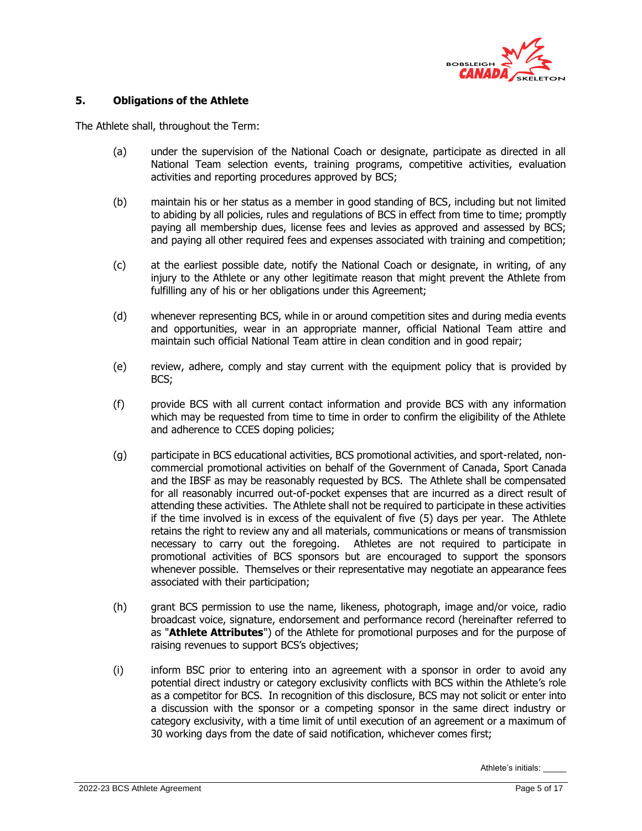

#### **5. Obligations of the Athlete**

The Athlete shall, throughout the Term:

- (a) under the supervision of the National Coach or designate, participate as directed in all National Team selection events, training programs, competitive activities, evaluation activities and reporting procedures approved by BCS;
- (b) maintain his or her status as a member in good standing of BCS, including but not limited to abiding by all policies, rules and regulations of BCS in effect from time to time; promptly paying all membership dues, license fees and levies as approved and assessed by BCS; and paying all other required fees and expenses associated with training and competition;
- (c) at the earliest possible date, notify the National Coach or designate, in writing, of any injury to the Athlete or any other legitimate reason that might prevent the Athlete from fulfilling any of his or her obligations under this Agreement;
- (d) whenever representing BCS, while in or around competition sites and during media events and opportunities, wear in an appropriate manner, official National Team attire and maintain such official National Team attire in clean condition and in good repair;
- (e) review, adhere, comply and stay current with the equipment policy that is provided by BCS;
- (f) provide BCS with all current contact information and provide BCS with any information which may be requested from time to time in order to confirm the eligibility of the Athlete and adherence to CCES doping policies;
- (g) participate in BCS educational activities, BCS promotional activities, and sport-related, noncommercial promotional activities on behalf of the Government of Canada, Sport Canada and the IBSF as may be reasonably requested by BCS. The Athlete shall be compensated for all reasonably incurred out-of-pocket expenses that are incurred as a direct result of attending these activities. The Athlete shall not be required to participate in these activities if the time involved is in excess of the equivalent of five (5) days per year. The Athlete retains the right to review any and all materials, communications or means of transmission necessary to carry out the foregoing. Athletes are not required to participate in promotional activities of BCS sponsors but are encouraged to support the sponsors whenever possible. Themselves or their representative may negotiate an appearance fees associated with their participation;
- (h) grant BCS permission to use the name, likeness, photograph, image and/or voice, radio broadcast voice, signature, endorsement and performance record (hereinafter referred to as "**Athlete Attributes**") of the Athlete for promotional purposes and for the purpose of raising revenues to support BCS's objectives;
- (i) inform BSC prior to entering into an agreement with a sponsor in order to avoid any potential direct industry or category exclusivity conflicts with BCS within the Athlete's role as a competitor for BCS. In recognition of this disclosure, BCS may not solicit or enter into a discussion with the sponsor or a competing sponsor in the same direct industry or category exclusivity, with a time limit of until execution of an agreement or a maximum of 30 working days from the date of said notification, whichever comes first;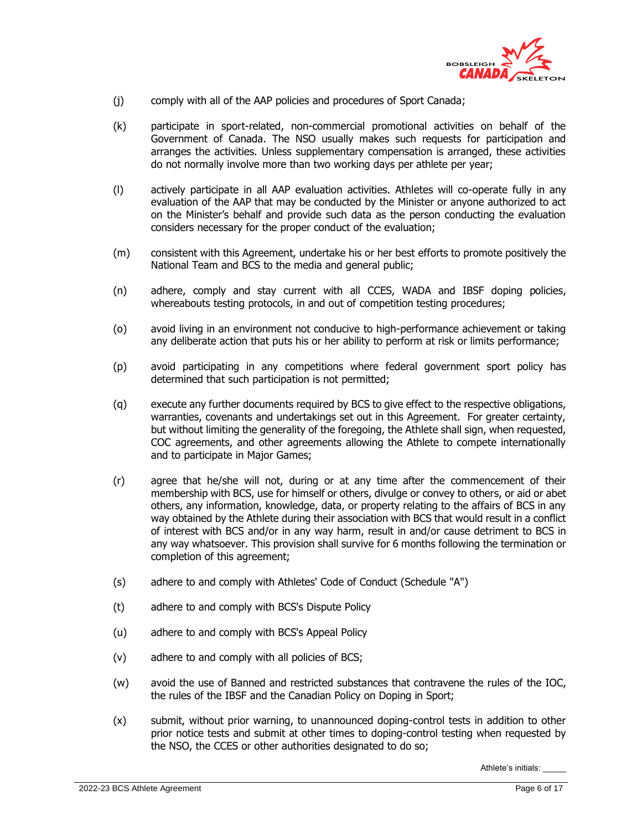

- (j) comply with all of the AAP policies and procedures of Sport Canada;
- (k) participate in sport-related, non-commercial promotional activities on behalf of the Government of Canada. The NSO usually makes such requests for participation and arranges the activities. Unless supplementary compensation is arranged, these activities do not normally involve more than two working days per athlete per year;
- (l) actively participate in all AAP evaluation activities. Athletes will co-operate fully in any evaluation of the AAP that may be conducted by the Minister or anyone authorized to act on the Minister's behalf and provide such data as the person conducting the evaluation considers necessary for the proper conduct of the evaluation;
- (m) consistent with this Agreement, undertake his or her best efforts to promote positively the National Team and BCS to the media and general public;
- (n) adhere, comply and stay current with all CCES, WADA and IBSF doping policies, whereabouts testing protocols, in and out of competition testing procedures;
- (o) avoid living in an environment not conducive to high-performance achievement or taking any deliberate action that puts his or her ability to perform at risk or limits performance;
- (p) avoid participating in any competitions where federal government sport policy has determined that such participation is not permitted;
- (q) execute any further documents required by BCS to give effect to the respective obligations, warranties, covenants and undertakings set out in this Agreement. For greater certainty, but without limiting the generality of the foregoing, the Athlete shall sign, when requested, COC agreements, and other agreements allowing the Athlete to compete internationally and to participate in Major Games;
- (r) agree that he/she will not, during or at any time after the commencement of their membership with BCS, use for himself or others, divulge or convey to others, or aid or abet others, any information, knowledge, data, or property relating to the affairs of BCS in any way obtained by the Athlete during their association with BCS that would result in a conflict of interest with BCS and/or in any way harm, result in and/or cause detriment to BCS in any way whatsoever. This provision shall survive for 6 months following the termination or completion of this agreement;
- (s) adhere to and comply with Athletes' Code of Conduct (Schedule "A")
- (t) adhere to and comply with BCS's Dispute Policy
- (u) adhere to and comply with BCS's Appeal Policy
- (v) adhere to and comply with all policies of BCS;
- (w) avoid the use of Banned and restricted substances that contravene the rules of the IOC, the rules of the IBSF and the Canadian Policy on Doping in Sport;
- (x) submit, without prior warning, to unannounced doping-control tests in addition to other prior notice tests and submit at other times to doping-control testing when requested by the NSO, the CCES or other authorities designated to do so;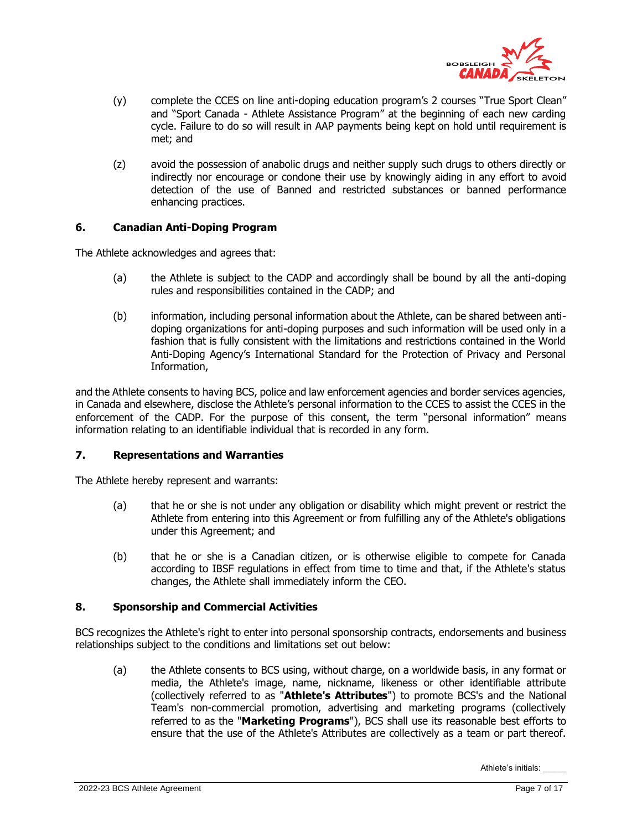

- (y) complete the CCES on line anti-doping education program's 2 courses "True Sport Clean" and "Sport Canada - Athlete Assistance Program" at the beginning of each new carding cycle. Failure to do so will result in AAP payments being kept on hold until requirement is met; and
- (z) avoid the possession of anabolic drugs and neither supply such drugs to others directly or indirectly nor encourage or condone their use by knowingly aiding in any effort to avoid detection of the use of Banned and restricted substances or banned performance enhancing practices.

## **6. Canadian Anti-Doping Program**

The Athlete acknowledges and agrees that:

- (a) the Athlete is subject to the CADP and accordingly shall be bound by all the anti-doping rules and responsibilities contained in the CADP; and
- (b) information, including personal information about the Athlete, can be shared between antidoping organizations for anti-doping purposes and such information will be used only in a fashion that is fully consistent with the limitations and restrictions contained in the World Anti-Doping Agency's International Standard for the Protection of Privacy and Personal Information,

and the Athlete consents to having BCS, police and law enforcement agencies and border services agencies, in Canada and elsewhere, disclose the Athlete's personal information to the CCES to assist the CCES in the enforcement of the CADP. For the purpose of this consent, the term "personal information" means information relating to an identifiable individual that is recorded in any form.

#### **7. Representations and Warranties**

The Athlete hereby represent and warrants:

- (a) that he or she is not under any obligation or disability which might prevent or restrict the Athlete from entering into this Agreement or from fulfilling any of the Athlete's obligations under this Agreement; and
- (b) that he or she is a Canadian citizen, or is otherwise eligible to compete for Canada according to IBSF regulations in effect from time to time and that, if the Athlete's status changes, the Athlete shall immediately inform the CEO.

## **8. Sponsorship and Commercial Activities**

<span id="page-6-0"></span>BCS recognizes the Athlete's right to enter into personal sponsorship contracts, endorsements and business relationships subject to the conditions and limitations set out below:

(a) the Athlete consents to BCS using, without charge, on a worldwide basis, in any format or media, the Athlete's image, name, nickname, likeness or other identifiable attribute (collectively referred to as "**Athlete's Attributes**") to promote BCS's and the National Team's non-commercial promotion, advertising and marketing programs (collectively referred to as the "**Marketing Programs**"), BCS shall use its reasonable best efforts to ensure that the use of the Athlete's Attributes are collectively as a team or part thereof.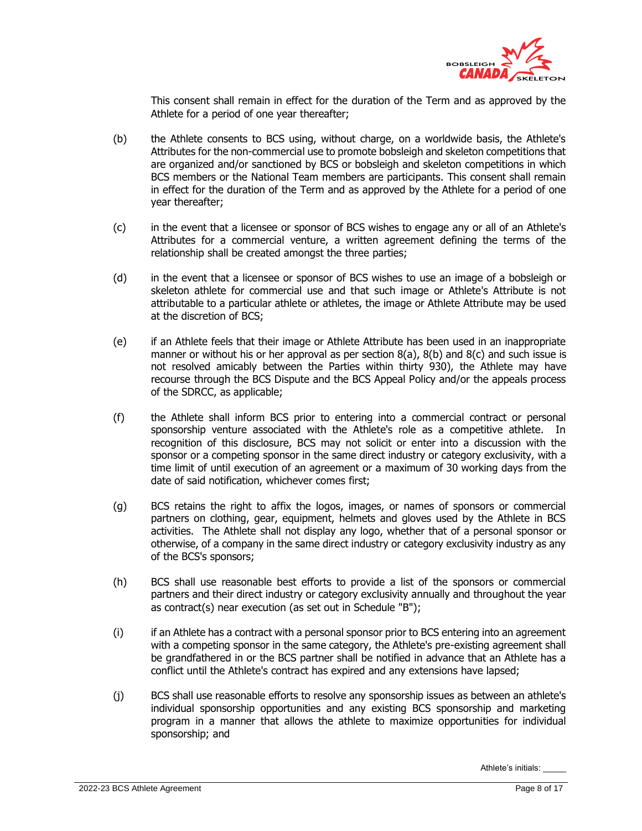

This consent shall remain in effect for the duration of the Term and as approved by the Athlete for a period of one year thereafter;

- <span id="page-7-0"></span>(b) the Athlete consents to BCS using, without charge, on a worldwide basis, the Athlete's Attributes for the non-commercial use to promote bobsleigh and skeleton competitions that are organized and/or sanctioned by BCS or bobsleigh and skeleton competitions in which BCS members or the National Team members are participants. This consent shall remain in effect for the duration of the Term and as approved by the Athlete for a period of one year thereafter;
- <span id="page-7-1"></span>(c) in the event that a licensee or sponsor of BCS wishes to engage any or all of an Athlete's Attributes for a commercial venture, a written agreement defining the terms of the relationship shall be created amongst the three parties;
- (d) in the event that a licensee or sponsor of BCS wishes to use an image of a bobsleigh or skeleton athlete for commercial use and that such image or Athlete's Attribute is not attributable to a particular athlete or athletes, the image or Athlete Attribute may be used at the discretion of BCS;
- (e) if an Athlete feels that their image or Athlete Attribute has been used in an inappropriate manner or without his or her approval as per section [8\(a\),](#page-6-0) [8\(b\)](#page-7-0) and [8\(c\)](#page-7-1) and such issue is not resolved amicably between the Parties within thirty 930), the Athlete may have recourse through the BCS Dispute and the BCS Appeal Policy and/or the appeals process of the SDRCC, as applicable;
- (f) the Athlete shall inform BCS prior to entering into a commercial contract or personal sponsorship venture associated with the Athlete's role as a competitive athlete. In recognition of this disclosure, BCS may not solicit or enter into a discussion with the sponsor or a competing sponsor in the same direct industry or category exclusivity, with a time limit of until execution of an agreement or a maximum of 30 working days from the date of said notification, whichever comes first;
- (g) BCS retains the right to affix the logos, images, or names of sponsors or commercial partners on clothing, gear, equipment, helmets and gloves used by the Athlete in BCS activities. The Athlete shall not display any logo, whether that of a personal sponsor or otherwise, of a company in the same direct industry or category exclusivity industry as any of the BCS's sponsors;
- (h) BCS shall use reasonable best efforts to provide a list of the sponsors or commercial partners and their direct industry or category exclusivity annually and throughout the year as contract(s) near execution (as set out in Schedule "B");
- (i) if an Athlete has a contract with a personal sponsor prior to BCS entering into an agreement with a competing sponsor in the same category, the Athlete's pre-existing agreement shall be grandfathered in or the BCS partner shall be notified in advance that an Athlete has a conflict until the Athlete's contract has expired and any extensions have lapsed;
- (j) BCS shall use reasonable efforts to resolve any sponsorship issues as between an athlete's individual sponsorship opportunities and any existing BCS sponsorship and marketing program in a manner that allows the athlete to maximize opportunities for individual sponsorship; and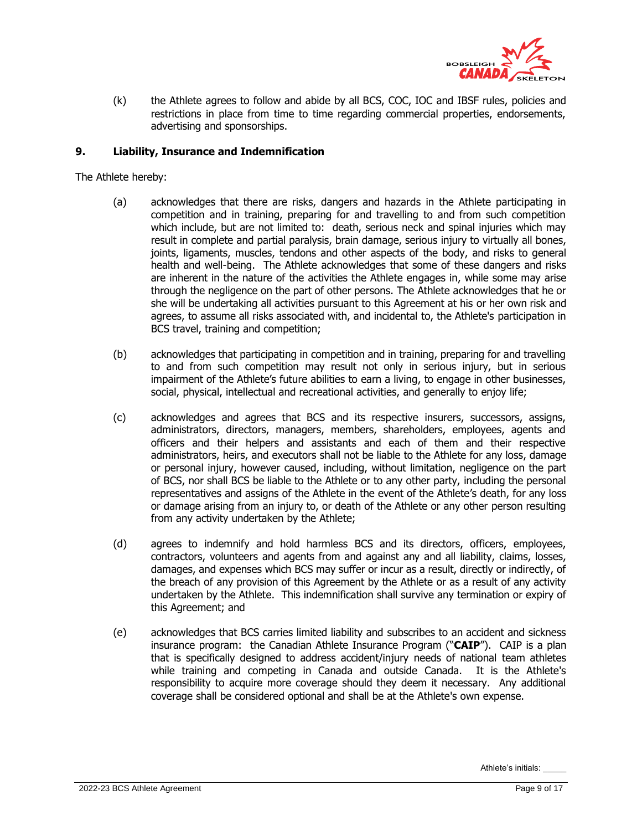

(k) the Athlete agrees to follow and abide by all BCS, COC, IOC and IBSF rules, policies and restrictions in place from time to time regarding commercial properties, endorsements, advertising and sponsorships.

#### **9. Liability, Insurance and Indemnification**

The Athlete hereby:

- (a) acknowledges that there are risks, dangers and hazards in the Athlete participating in competition and in training, preparing for and travelling to and from such competition which include, but are not limited to: death, serious neck and spinal injuries which may result in complete and partial paralysis, brain damage, serious injury to virtually all bones, joints, ligaments, muscles, tendons and other aspects of the body, and risks to general health and well-being. The Athlete acknowledges that some of these dangers and risks are inherent in the nature of the activities the Athlete engages in, while some may arise through the negligence on the part of other persons. The Athlete acknowledges that he or she will be undertaking all activities pursuant to this Agreement at his or her own risk and agrees, to assume all risks associated with, and incidental to, the Athlete's participation in BCS travel, training and competition;
- (b) acknowledges that participating in competition and in training, preparing for and travelling to and from such competition may result not only in serious injury, but in serious impairment of the Athlete's future abilities to earn a living, to engage in other businesses, social, physical, intellectual and recreational activities, and generally to enjoy life;
- (c) acknowledges and agrees that BCS and its respective insurers, successors, assigns, administrators, directors, managers, members, shareholders, employees, agents and officers and their helpers and assistants and each of them and their respective administrators, heirs, and executors shall not be liable to the Athlete for any loss, damage or personal injury, however caused, including, without limitation, negligence on the part of BCS, nor shall BCS be liable to the Athlete or to any other party, including the personal representatives and assigns of the Athlete in the event of the Athlete's death, for any loss or damage arising from an injury to, or death of the Athlete or any other person resulting from any activity undertaken by the Athlete;
- (d) agrees to indemnify and hold harmless BCS and its directors, officers, employees, contractors, volunteers and agents from and against any and all liability, claims, losses, damages, and expenses which BCS may suffer or incur as a result, directly or indirectly, of the breach of any provision of this Agreement by the Athlete or as a result of any activity undertaken by the Athlete. This indemnification shall survive any termination or expiry of this Agreement; and
- (e) acknowledges that BCS carries limited liability and subscribes to an accident and sickness insurance program: the Canadian Athlete Insurance Program ("**CAIP**"). CAIP is a plan that is specifically designed to address accident/injury needs of national team athletes while training and competing in Canada and outside Canada. It is the Athlete's responsibility to acquire more coverage should they deem it necessary. Any additional coverage shall be considered optional and shall be at the Athlete's own expense.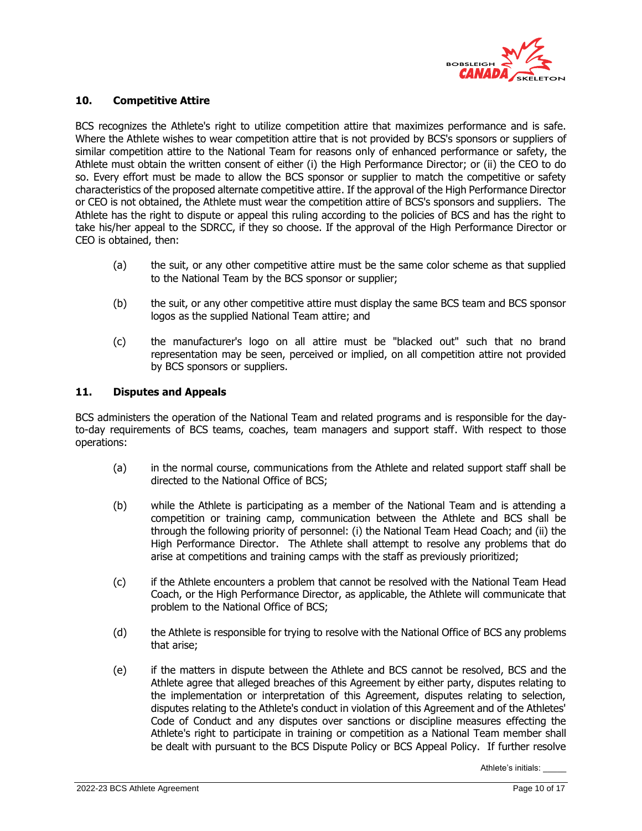

#### **10. Competitive Attire**

BCS recognizes the Athlete's right to utilize competition attire that maximizes performance and is safe. Where the Athlete wishes to wear competition attire that is not provided by BCS's sponsors or suppliers of similar competition attire to the National Team for reasons only of enhanced performance or safety, the Athlete must obtain the written consent of either (i) the High Performance Director; or (ii) the CEO to do so. Every effort must be made to allow the BCS sponsor or supplier to match the competitive or safety characteristics of the proposed alternate competitive attire. If the approval of the High Performance Director or CEO is not obtained, the Athlete must wear the competition attire of BCS's sponsors and suppliers. The Athlete has the right to dispute or appeal this ruling according to the policies of BCS and has the right to take his/her appeal to the SDRCC, if they so choose. If the approval of the High Performance Director or CEO is obtained, then:

- (a) the suit, or any other competitive attire must be the same color scheme as that supplied to the National Team by the BCS sponsor or supplier;
- (b) the suit, or any other competitive attire must display the same BCS team and BCS sponsor logos as the supplied National Team attire; and
- (c) the manufacturer's logo on all attire must be "blacked out" such that no brand representation may be seen, perceived or implied, on all competition attire not provided by BCS sponsors or suppliers.

#### **11. Disputes and Appeals**

BCS administers the operation of the National Team and related programs and is responsible for the dayto-day requirements of BCS teams, coaches, team managers and support staff. With respect to those operations:

- (a) in the normal course, communications from the Athlete and related support staff shall be directed to the National Office of BCS;
- (b) while the Athlete is participating as a member of the National Team and is attending a competition or training camp, communication between the Athlete and BCS shall be through the following priority of personnel: (i) the National Team Head Coach; and (ii) the High Performance Director. The Athlete shall attempt to resolve any problems that do arise at competitions and training camps with the staff as previously prioritized;
- (c) if the Athlete encounters a problem that cannot be resolved with the National Team Head Coach, or the High Performance Director, as applicable, the Athlete will communicate that problem to the National Office of BCS;
- (d) the Athlete is responsible for trying to resolve with the National Office of BCS any problems that arise;
- (e) if the matters in dispute between the Athlete and BCS cannot be resolved, BCS and the Athlete agree that alleged breaches of this Agreement by either party, disputes relating to the implementation or interpretation of this Agreement, disputes relating to selection, disputes relating to the Athlete's conduct in violation of this Agreement and of the Athletes' Code of Conduct and any disputes over sanctions or discipline measures effecting the Athlete's right to participate in training or competition as a National Team member shall be dealt with pursuant to the BCS Dispute Policy or BCS Appeal Policy. If further resolve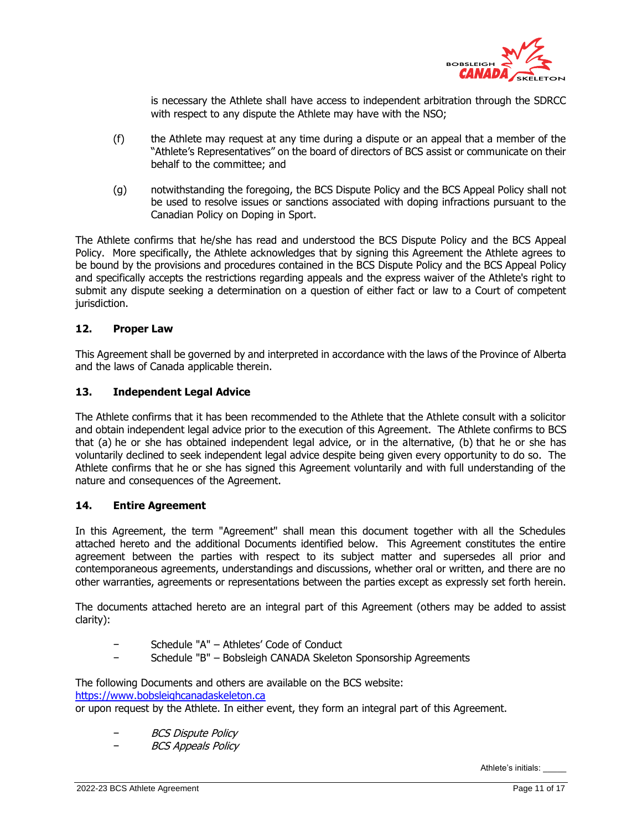

is necessary the Athlete shall have access to independent arbitration through the SDRCC with respect to any dispute the Athlete may have with the NSO;

- (f) the Athlete may request at any time during a dispute or an appeal that a member of the "Athlete's Representatives" on the board of directors of BCS assist or communicate on their behalf to the committee; and
- (g) notwithstanding the foregoing, the BCS Dispute Policy and the BCS Appeal Policy shall not be used to resolve issues or sanctions associated with doping infractions pursuant to the Canadian Policy on Doping in Sport.

The Athlete confirms that he/she has read and understood the BCS Dispute Policy and the BCS Appeal Policy. More specifically, the Athlete acknowledges that by signing this Agreement the Athlete agrees to be bound by the provisions and procedures contained in the BCS Dispute Policy and the BCS Appeal Policy and specifically accepts the restrictions regarding appeals and the express waiver of the Athlete's right to submit any dispute seeking a determination on a question of either fact or law to a Court of competent jurisdiction.

# **12. Proper Law**

This Agreement shall be governed by and interpreted in accordance with the laws of the Province of Alberta and the laws of Canada applicable therein.

#### **13. Independent Legal Advice**

The Athlete confirms that it has been recommended to the Athlete that the Athlete consult with a solicitor and obtain independent legal advice prior to the execution of this Agreement. The Athlete confirms to BCS that (a) he or she has obtained independent legal advice, or in the alternative, (b) that he or she has voluntarily declined to seek independent legal advice despite being given every opportunity to do so. The Athlete confirms that he or she has signed this Agreement voluntarily and with full understanding of the nature and consequences of the Agreement.

#### <span id="page-10-0"></span>**14. Entire Agreement**

In this Agreement, the term "Agreement" shall mean this document together with all the Schedules attached hereto and the additional Documents identified below. This Agreement constitutes the entire agreement between the parties with respect to its subject matter and supersedes all prior and contemporaneous agreements, understandings and discussions, whether oral or written, and there are no other warranties, agreements or representations between the parties except as expressly set forth herein.

The documents attached hereto are an integral part of this Agreement (others may be added to assist clarity):

- − Schedule "A" Athletes' Code of Conduct
- − Schedule "B" Bobsleigh CANADA Skeleton Sponsorship Agreements

The following Documents and others are available on the BCS website: [https://www.bobsleighcanadaskeleton.ca](https://www.bobsleighcanadaskeleton.ca/)

or upon request by the Athlete. In either event, they form an integral part of this Agreement.

- − BCS Dispute Policy
- − BCS Appeals Policy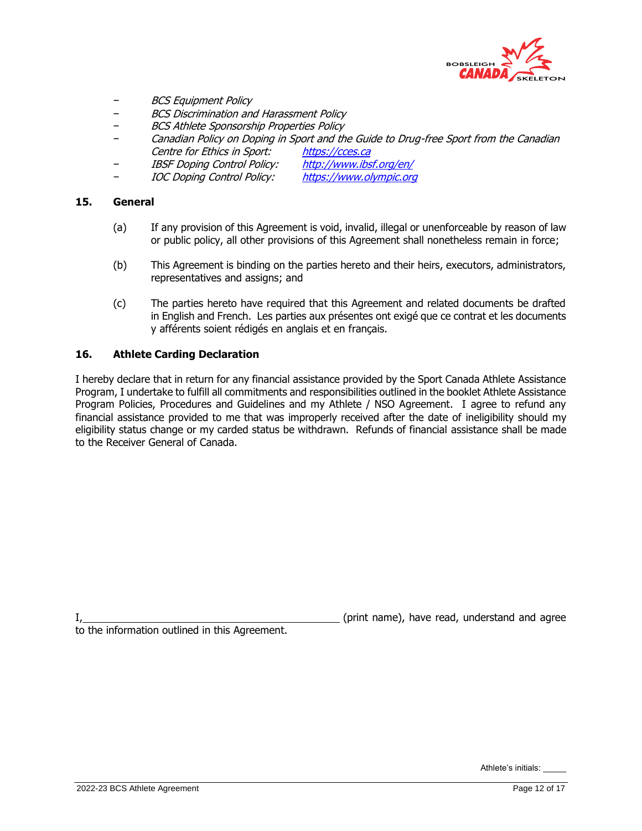

- − BCS Equipment Policy
- − BCS Discrimination and Harassment Policy
- − BCS Athlete Sponsorship Properties Policy
- Canadian Policy on Doping in Sport and the Guide to Drug-free Sport from the Canadian Centre for Ethics in Sport: [https://cces.ca](https://cces.ca/)
- IBSF Doping Control Policy: <http://www.ibsf.org/en/>
- − IOC Doping Control Policy: [https://www.olympic.org](https://www.olympic.org/)

#### **15. General**

- (a) If any provision of this Agreement is void, invalid, illegal or unenforceable by reason of law or public policy, all other provisions of this Agreement shall nonetheless remain in force;
- (b) This Agreement is binding on the parties hereto and their heirs, executors, administrators, representatives and assigns; and
- (c) The parties hereto have required that this Agreement and related documents be drafted in English and French. Les parties aux présentes ont exigé que ce contrat et les documents y afférents soient rédigés en anglais et en français.

### **16. Athlete Carding Declaration**

I hereby declare that in return for any financial assistance provided by the Sport Canada Athlete Assistance Program, I undertake to fulfill all commitments and responsibilities outlined in the booklet Athlete Assistance Program Policies, Procedures and Guidelines and my Athlete / NSO Agreement. I agree to refund any financial assistance provided to me that was improperly received after the date of ineligibility should my eligibility status change or my carded status be withdrawn. Refunds of financial assistance shall be made to the Receiver General of Canada.

(print name), have read, understand and agree

to the information outlined in this Agreement.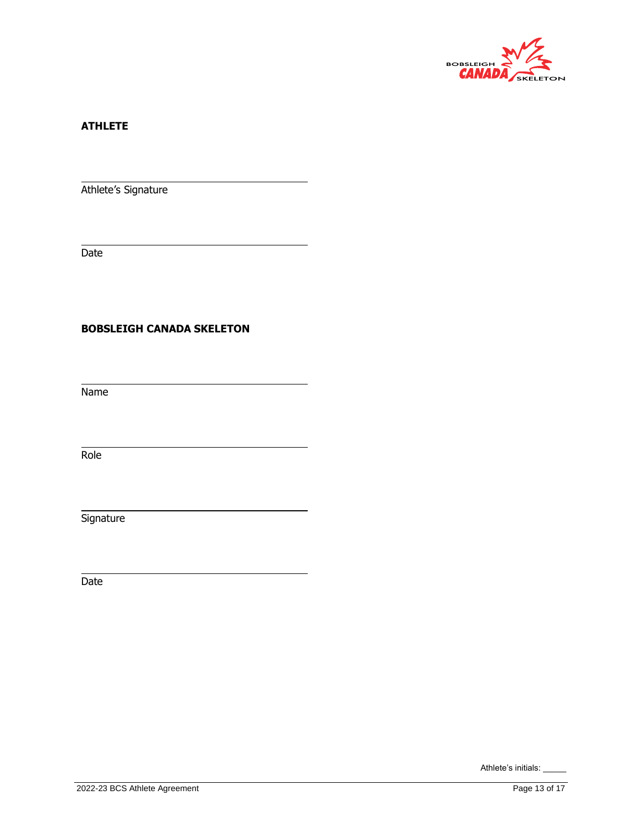

## **ATHLETE**

Athlete's Signature

Date

## **BOBSLEIGH CANADA SKELETON**

Name

Role

**Signature** 

Date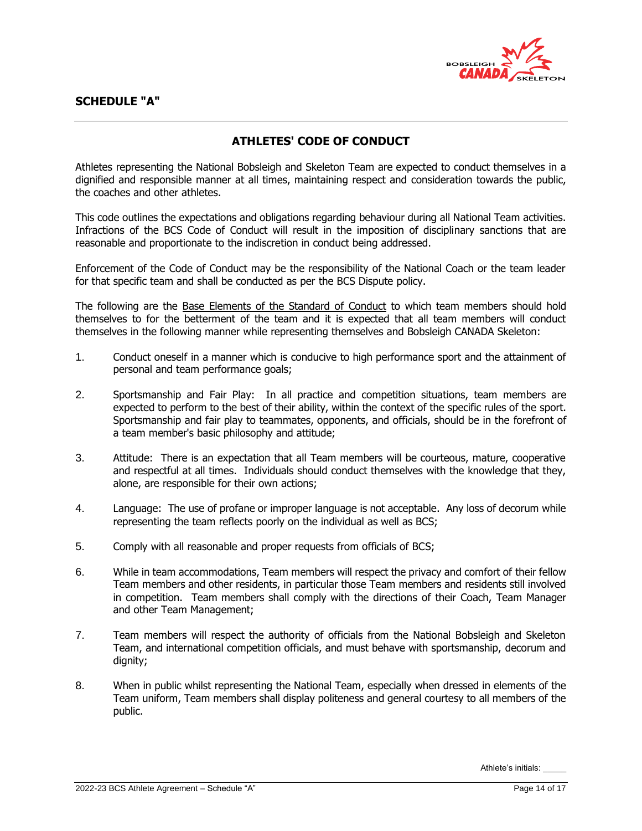

# **ATHLETES' CODE OF CONDUCT**

Athletes representing the National Bobsleigh and Skeleton Team are expected to conduct themselves in a dignified and responsible manner at all times, maintaining respect and consideration towards the public, the coaches and other athletes.

This code outlines the expectations and obligations regarding behaviour during all National Team activities. Infractions of the BCS Code of Conduct will result in the imposition of disciplinary sanctions that are reasonable and proportionate to the indiscretion in conduct being addressed.

Enforcement of the Code of Conduct may be the responsibility of the National Coach or the team leader for that specific team and shall be conducted as per the BCS Dispute policy.

The following are the Base Elements of the Standard of Conduct to which team members should hold themselves to for the betterment of the team and it is expected that all team members will conduct themselves in the following manner while representing themselves and Bobsleigh CANADA Skeleton:

- 1. Conduct oneself in a manner which is conducive to high performance sport and the attainment of personal and team performance goals;
- 2. Sportsmanship and Fair Play: In all practice and competition situations, team members are expected to perform to the best of their ability, within the context of the specific rules of the sport. Sportsmanship and fair play to teammates, opponents, and officials, should be in the forefront of a team member's basic philosophy and attitude;
- 3. Attitude: There is an expectation that all Team members will be courteous, mature, cooperative and respectful at all times. Individuals should conduct themselves with the knowledge that they, alone, are responsible for their own actions;
- 4. Language: The use of profane or improper language is not acceptable. Any loss of decorum while representing the team reflects poorly on the individual as well as BCS;
- 5. Comply with all reasonable and proper requests from officials of BCS;
- 6. While in team accommodations, Team members will respect the privacy and comfort of their fellow Team members and other residents, in particular those Team members and residents still involved in competition. Team members shall comply with the directions of their Coach, Team Manager and other Team Management;
- 7. Team members will respect the authority of officials from the National Bobsleigh and Skeleton Team, and international competition officials, and must behave with sportsmanship, decorum and dignity;
- 8. When in public whilst representing the National Team, especially when dressed in elements of the Team uniform, Team members shall display politeness and general courtesy to all members of the public.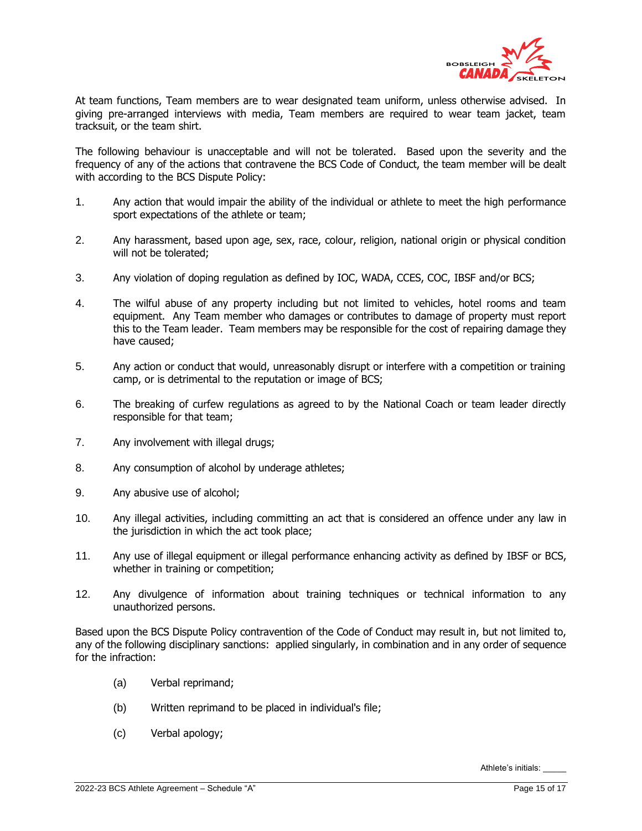

At team functions, Team members are to wear designated team uniform, unless otherwise advised. In giving pre-arranged interviews with media, Team members are required to wear team jacket, team tracksuit, or the team shirt.

The following behaviour is unacceptable and will not be tolerated. Based upon the severity and the frequency of any of the actions that contravene the BCS Code of Conduct, the team member will be dealt with according to the BCS Dispute Policy:

- 1. Any action that would impair the ability of the individual or athlete to meet the high performance sport expectations of the athlete or team;
- 2. Any harassment, based upon age, sex, race, colour, religion, national origin or physical condition will not be tolerated;
- 3. Any violation of doping regulation as defined by IOC, WADA, CCES, COC, IBSF and/or BCS;
- 4. The wilful abuse of any property including but not limited to vehicles, hotel rooms and team equipment. Any Team member who damages or contributes to damage of property must report this to the Team leader. Team members may be responsible for the cost of repairing damage they have caused;
- 5. Any action or conduct that would, unreasonably disrupt or interfere with a competition or training camp, or is detrimental to the reputation or image of BCS;
- 6. The breaking of curfew regulations as agreed to by the National Coach or team leader directly responsible for that team;
- 7. Any involvement with illegal drugs;
- 8. Any consumption of alcohol by underage athletes;
- 9. Any abusive use of alcohol;
- 10. Any illegal activities, including committing an act that is considered an offence under any law in the jurisdiction in which the act took place;
- 11. Any use of illegal equipment or illegal performance enhancing activity as defined by IBSF or BCS, whether in training or competition;
- 12. Any divulgence of information about training techniques or technical information to any unauthorized persons.

Based upon the BCS Dispute Policy contravention of the Code of Conduct may result in, but not limited to, any of the following disciplinary sanctions: applied singularly, in combination and in any order of sequence for the infraction:

- (a) Verbal reprimand;
- (b) Written reprimand to be placed in individual's file;
- (c) Verbal apology;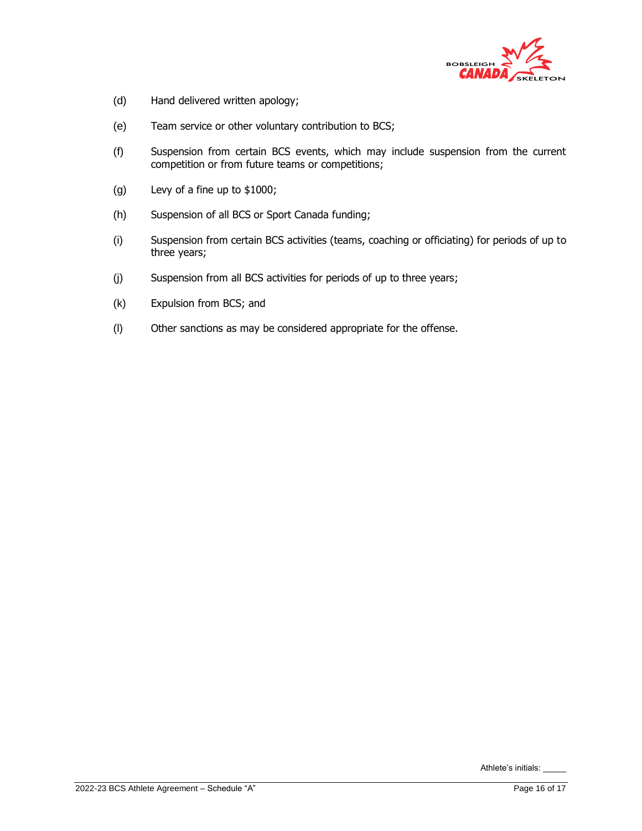

- (d) Hand delivered written apology;
- (e) Team service or other voluntary contribution to BCS;
- (f) Suspension from certain BCS events, which may include suspension from the current competition or from future teams or competitions;
- (g) Levy of a fine up to \$1000;
- (h) Suspension of all BCS or Sport Canada funding;
- (i) Suspension from certain BCS activities (teams, coaching or officiating) for periods of up to three years;
- (j) Suspension from all BCS activities for periods of up to three years;
- (k) Expulsion from BCS; and
- (l) Other sanctions as may be considered appropriate for the offense.